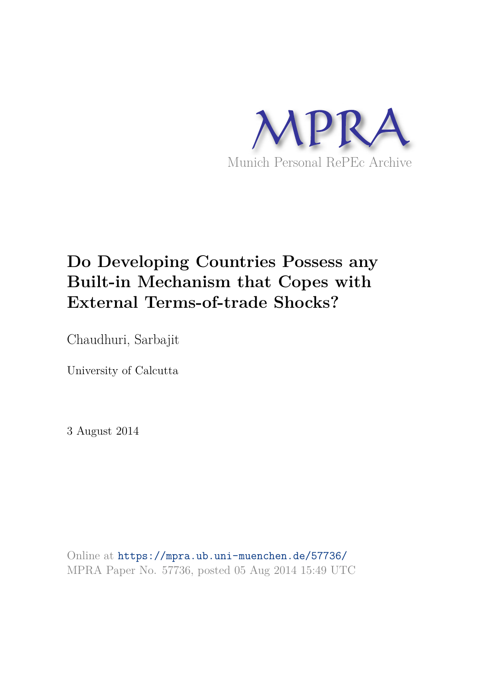

# **Do Developing Countries Possess any Built-in Mechanism that Copes with External Terms-of-trade Shocks?**

Chaudhuri, Sarbajit

University of Calcutta

3 August 2014

Online at https://mpra.ub.uni-muenchen.de/57736/ MPRA Paper No. 57736, posted 05 Aug 2014 15:49 UTC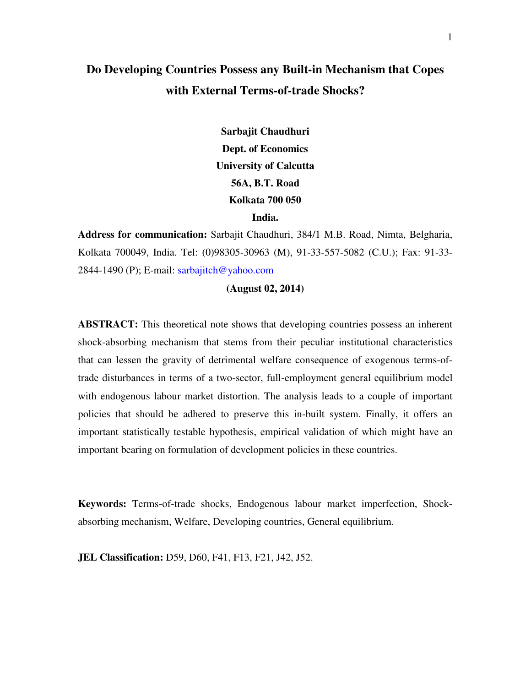### **Do Developing Countries Possess any Built-in Mechanism that Copes with External Terms-of-trade Shocks?**

**Sarbajit Chaudhuri Dept. of Economics University of Calcutta 56A, B.T. Road Kolkata 700 050 India.** 

**Address for communication:** Sarbajit Chaudhuri, 384/1 M.B. Road, Nimta, Belgharia, Kolkata 700049, India. Tel: (0)98305-30963 (M), 91-33-557-5082 (C.U.); Fax: 91-33- 2844-1490 (P); E-mail: sarbajitch@yahoo.com

#### **(August 02, 2014)**

**ABSTRACT:** This theoretical note shows that developing countries possess an inherent shock-absorbing mechanism that stems from their peculiar institutional characteristics that can lessen the gravity of detrimental welfare consequence of exogenous terms-oftrade disturbances in terms of a two-sector, full-employment general equilibrium model with endogenous labour market distortion. The analysis leads to a couple of important policies that should be adhered to preserve this in-built system. Finally, it offers an important statistically testable hypothesis, empirical validation of which might have an important bearing on formulation of development policies in these countries.

**Keywords:** Terms-of-trade shocks, Endogenous labour market imperfection, Shockabsorbing mechanism, Welfare, Developing countries, General equilibrium.

**JEL Classification:** D59, D60, F41, F13, F21, J42, J52.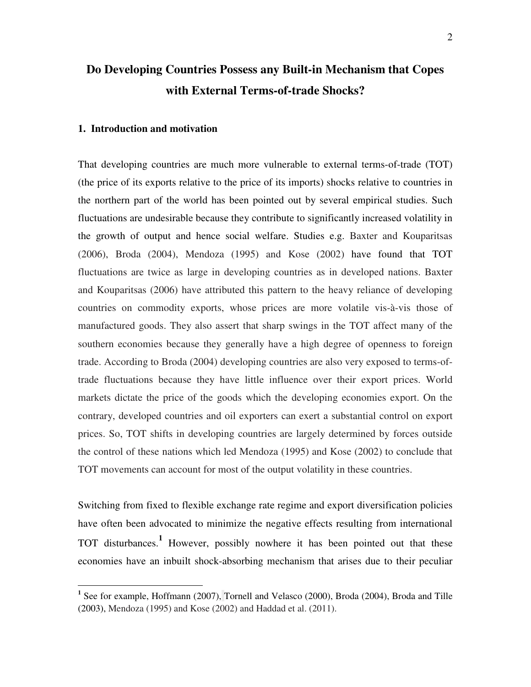## **Do Developing Countries Possess any Built-in Mechanism that Copes with External Terms-of-trade Shocks?**

#### **1. Introduction and motivation**

-

That developing countries are much more vulnerable to external terms-of-trade (TOT) (the price of its exports relative to the price of its imports) shocks relative to countries in the northern part of the world has been pointed out by several empirical studies. Such fluctuations are undesirable because they contribute to significantly increased volatility in the growth of output and hence social welfare. Studies e.g. Baxter and Kouparitsas (2006), Broda (2004), Mendoza (1995) and Kose (2002) have found that TOT fluctuations are twice as large in developing countries as in developed nations. Baxter and Kouparitsas (2006) have attributed this pattern to the heavy reliance of developing countries on commodity exports, whose prices are more volatile vis-à-vis those of manufactured goods. They also assert that sharp swings in the TOT affect many of the southern economies because they generally have a high degree of openness to foreign trade. According to Broda (2004) developing countries are also very exposed to terms-oftrade fluctuations because they have little influence over their export prices. World markets dictate the price of the goods which the developing economies export. On the contrary, developed countries and oil exporters can exert a substantial control on export prices. So, TOT shifts in developing countries are largely determined by forces outside the control of these nations which led Mendoza (1995) and Kose (2002) to conclude that TOT movements can account for most of the output volatility in these countries.

Switching from fixed to flexible exchange rate regime and export diversification policies have often been advocated to minimize the negative effects resulting from international TOT disturbances.**<sup>1</sup>** However, possibly nowhere it has been pointed out that these economies have an inbuilt shock-absorbing mechanism that arises due to their peculiar

<sup>&</sup>lt;sup>1</sup> See for example, Hoffmann (2007), Tornell and Velasco (2000), Broda (2004), Broda and Tille (2003), Mendoza (1995) and Kose (2002) and Haddad et al. (2011).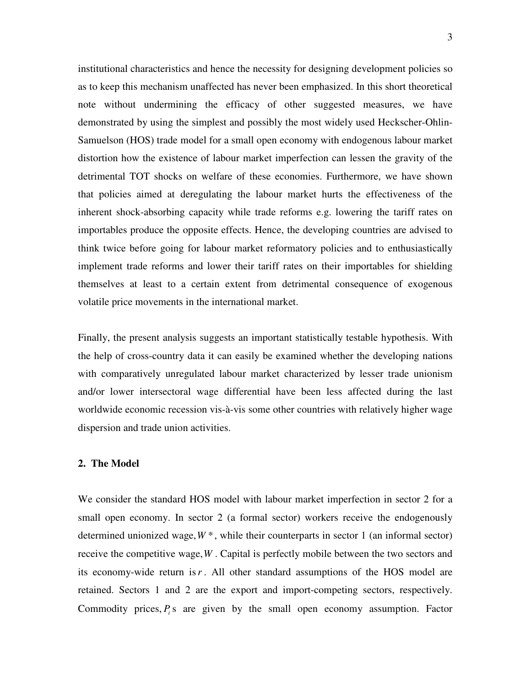institutional characteristics and hence the necessity for designing development policies so as to keep this mechanism unaffected has never been emphasized. In this short theoretical note without undermining the efficacy of other suggested measures, we have demonstrated by using the simplest and possibly the most widely used Heckscher-Ohlin-Samuelson (HOS) trade model for a small open economy with endogenous labour market distortion how the existence of labour market imperfection can lessen the gravity of the detrimental TOT shocks on welfare of these economies. Furthermore, we have shown that policies aimed at deregulating the labour market hurts the effectiveness of the inherent shock-absorbing capacity while trade reforms e.g. lowering the tariff rates on importables produce the opposite effects. Hence, the developing countries are advised to think twice before going for labour market reformatory policies and to enthusiastically implement trade reforms and lower their tariff rates on their importables for shielding themselves at least to a certain extent from detrimental consequence of exogenous volatile price movements in the international market.

Finally, the present analysis suggests an important statistically testable hypothesis. With the help of cross-country data it can easily be examined whether the developing nations with comparatively unregulated labour market characterized by lesser trade unionism and/or lower intersectoral wage differential have been less affected during the last worldwide economic recession vis-à-vis some other countries with relatively higher wage dispersion and trade union activities.

#### **2. The Model**

We consider the standard HOS model with labour market imperfection in sector 2 for a small open economy. In sector 2 (a formal sector) workers receive the endogenously determined unionized wage,  $W^*$ , while their counterparts in sector 1 (an informal sector) receive the competitive wage,*W* . Capital is perfectly mobile between the two sectors and its economy-wide return is*r* . All other standard assumptions of the HOS model are retained. Sectors 1 and 2 are the export and import-competing sectors, respectively. Commodity prices,  $P_i$  is are given by the small open economy assumption. Factor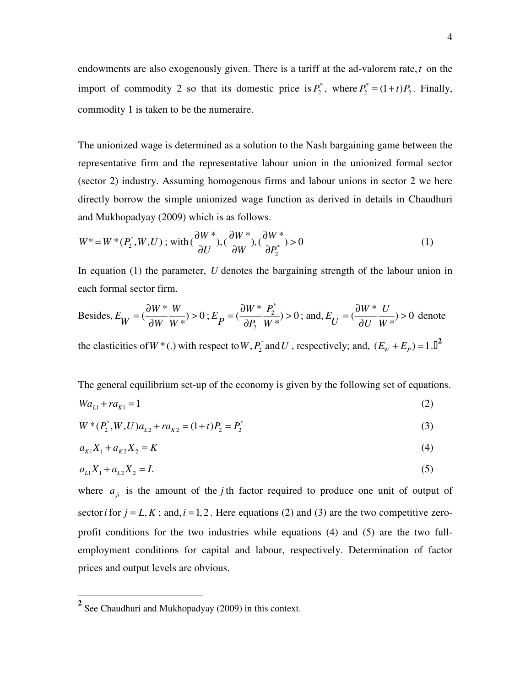endowments are also exogenously given. There is a tariff at the ad-valorem rate,*t* on the import of commodity 2 so that its domestic price is  $P_2^*$ , where  $P_2^* = (1 + t)P_2$ . Finally, commodity 1 is taken to be the numeraire.

The unionized wage is determined as a solution to the Nash bargaining game between the representative firm and the representative labour union in the unionized formal sector (sector 2) industry. Assuming homogenous firms and labour unions in sector 2 we here directly borrow the simple unionized wage function as derived in details in Chaudhuri and Mukhopadyay (2009) which is as follows.

$$
W^* = W^*(P_2^*, W, U) \; ; \; \text{with} \; (\frac{\partial W^*}{\partial U}), (\frac{\partial W^*}{\partial W}), (\frac{\partial W^*}{\partial P_2^*}) > 0 \tag{1}
$$

In equation (1) the parameter, *U* denotes the bargaining strength of the labour union in each formal sector firm.

Besides, 
$$
E_W = (\frac{\partial W^*}{\partial W} \frac{W}{W^*}) > 0
$$
;  $E_P = (\frac{\partial W^*}{\partial P_2} \frac{P_2^*}{W^*}) > 0$ ; and,  $E_U = (\frac{\partial W^*}{\partial U} \frac{U}{W^*}) > 0$  denote

the elasticities of  $W^*$  (.) with respect to  $W$ ,  $P_2^*$  and  $U$ , respectively; and,  $(E_w + E_p) = 1$ .  $\mathbb{D}^2$ 

The general equilibrium set-up of the economy is given by the following set of equations.

$$
Wa_{L1} + ra_{K1} = 1 \tag{2}
$$

$$
W^*(P_2^*, W, U)a_{L2} + ra_{K2} = (1+t)P_2 = P_2^*
$$
\n(3)

$$
a_{K1}X_1 + a_{K2}X_2 = K \tag{4}
$$

$$
a_{L1}X_1 + a_{L2}X_2 = L \tag{5}
$$

where  $a_{ji}$  is the amount of the *j* th factor required to produce one unit of output of sector *i* for  $j = L, K$ ; and,  $i = 1, 2$ . Here equations (2) and (3) are the two competitive zeroprofit conditions for the two industries while equations (4) and (5) are the two fullemployment conditions for capital and labour, respectively. Determination of factor prices and output levels are obvious.

-

**<sup>2</sup>** See Chaudhuri and Mukhopadyay (2009) in this context.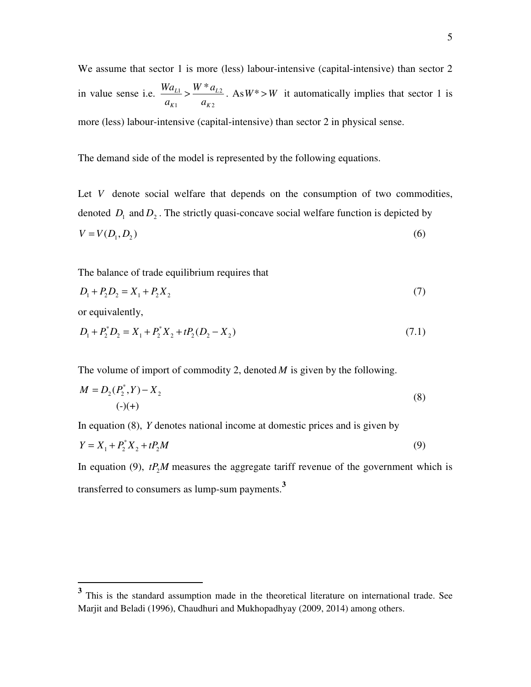We assume that sector 1 is more (less) labour-intensive (capital-intensive) than sector 2 in value sense i.e.  $\frac{m u_{L1}}{2} > \frac{m u_{L2}}{2}$ 1  $u_{K2}$  $\frac{L}{L}$   $\sim$   $\frac{W * a$  $K1$   $u_K$  $Wa_{L1}$   $W^*a$  $a_{K1}$  *a*  $\geq \frac{W - u_{L2}}{W}$ . As  $W^* > W$  it automatically implies that sector 1 is more (less) labour-intensive (capital-intensive) than sector 2 in physical sense.

The demand side of the model is represented by the following equations.

Let *V* denote social welfare that depends on the consumption of two commodities, denoted  $D_1$  and  $D_2$ . The strictly quasi-concave social welfare function is depicted by  $V = V(D_1, D_2)$  (6)

The balance of trade equilibrium requires that

$$
D_1 + P_2 D_2 = X_1 + P_2 X_2 \tag{7}
$$

or equivalently,

 $\overline{a}$ 

$$
D_1 + P_2^* D_2 = X_1 + P_2^* X_2 + t P_2 (D_2 - X_2)
$$
\n(7.1)

The volume of import of commodity 2, denoted *M* is given by the following.

$$
M = D_2(P_2^*, Y) - X_2
$$
  
(-)(+) (8)

In equation (8), *Y* denotes national income at domestic prices and is given by

$$
Y = X_1 + P_2^* X_2 + tP_2 M \tag{9}
$$

In equation (9),  $tP_2M$  measures the aggregate tariff revenue of the government which is transferred to consumers as lump-sum payments.**<sup>3</sup>**

<sup>&</sup>lt;sup>3</sup> This is the standard assumption made in the theoretical literature on international trade. See Marjit and Beladi (1996), Chaudhuri and Mukhopadhyay (2009, 2014) among others.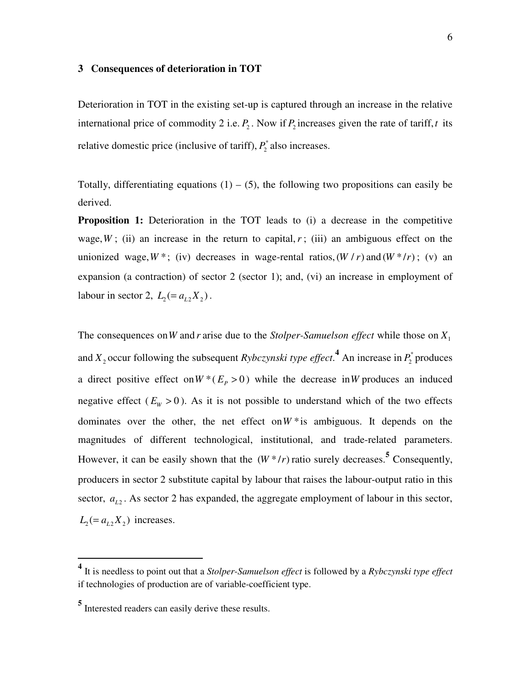#### **3 Consequences of deterioration in TOT**

Deterioration in TOT in the existing set-up is captured through an increase in the relative international price of commodity 2 i.e.  $P_2$ . Now if  $P_2$  increases given the rate of tariff, t its relative domestic price (inclusive of tariff),  $P_2^*$  also increases.

Totally, differentiating equations  $(1) - (5)$ , the following two propositions can easily be derived.

**Proposition 1:** Deterioration in the TOT leads to (i) a decrease in the competitive wage,  $W$ ; (ii) an increase in the return to capital,  $r$ ; (iii) an ambiguous effect on the unionized wage,  $W^*$ ; (iv) decreases in wage-rental ratios,  $(W / r)$  and  $(W^* / r)$ ; (v) an expansion (a contraction) of sector 2 (sector 1); and, (vi) an increase in employment of labour in sector 2,  $L_2 = a_{L2} X_2$ .

The consequences on *W* and *r* arise due to the *Stolper-Samuelson effect* while those on  $X_1$ and  $X_2$  occur following the subsequent *Rybczynski type effect*.<sup>4</sup> An increase in  $P_2^*$  produces a direct positive effect on  $W^*(E_p > 0)$  while the decrease in W produces an induced negative effect ( $E_W > 0$ ). As it is not possible to understand which of the two effects dominates over the other, the net effect on  $W^*$  is ambiguous. It depends on the magnitudes of different technological, institutional, and trade-related parameters. However, it can be easily shown that the  $(W^*/r)$  ratio surely decreases.<sup>5</sup> Consequently, producers in sector 2 substitute capital by labour that raises the labour-output ratio in this sector,  $a_{L2}$ . As sector 2 has expanded, the aggregate employment of labour in this sector,  $L_2 (= a_{L2} X_2)$  increases.

 $\ddot{\phantom{a}}$ 

**<sup>4</sup>** It is needless to point out that a *Stolper-Samuelson effect* is followed by a *Rybczynski type effect* if technologies of production are of variable-coefficient type.

**<sup>5</sup>** Interested readers can easily derive these results.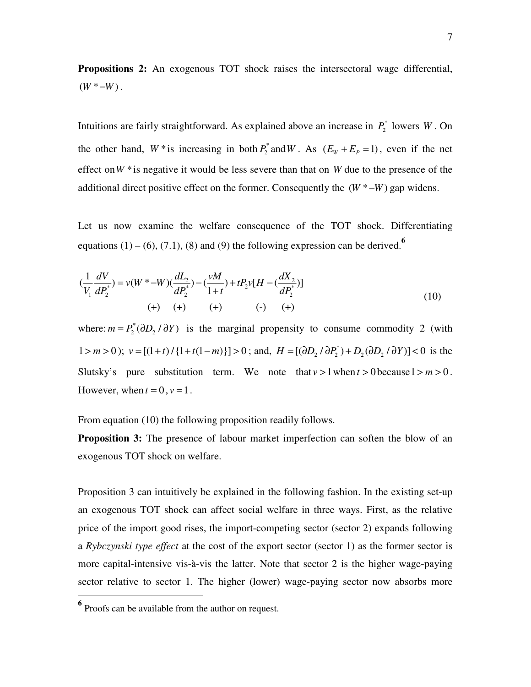**Propositions 2:** An exogenous TOT shock raises the intersectoral wage differential,  $(W^* - W)$ .

Intuitions are fairly straightforward. As explained above an increase in  $P_2^*$  lowers *W*. On the other hand,  $W^*$  is increasing in both  $P_2^*$  and  $W$ . As  $(E_W + E_p = 1)$ , even if the net effect on*W* \*is negative it would be less severe than that on *W* due to the presence of the additional direct positive effect on the former. Consequently the  $(W^* - W)$  gap widens.

Let us now examine the welfare consequence of the TOT shock. Differentiating equations  $(1) - (6)$ ,  $(7.1)$ ,  $(8)$  and  $(9)$  the following expression can be derived.<sup>6</sup>

$$
(\frac{1}{V_1}\frac{dV}{dP_2^*}) = v(W^* - W)(\frac{dL_2}{dP_2^*}) - (\frac{vM}{1+t}) + tP_2v[H - (\frac{dX_2}{dP_2^*})]
$$
  
(+) (+) (+) (+) (-) (+)

where:  $m = P_2^* (\partial D_2 / \partial Y)$  is the marginal propensity to consume commodity 2 (with  $1 > m > 0$ );  $v = [(1 + t) / {1 + t(1 - m)}] > 0$ ; and,  $H = [(\partial D_2 / \partial P_2^*) + D_2 (\partial D_2 / \partial Y)] < 0$  is the Slutsky's pure substitution term. We note that  $v > 1$  when  $t > 0$  because  $1 > m > 0$ . However, when  $t = 0$ ,  $v = 1$ .

From equation (10) the following proposition readily follows.

**Proposition 3:** The presence of labour market imperfection can soften the blow of an exogenous TOT shock on welfare.

Proposition 3 can intuitively be explained in the following fashion. In the existing set-up an exogenous TOT shock can affect social welfare in three ways. First, as the relative price of the import good rises, the import-competing sector (sector 2) expands following a *Rybczynski type effect* at the cost of the export sector (sector 1) as the former sector is more capital-intensive vis-à-vis the latter. Note that sector 2 is the higher wage-paying sector relative to sector 1. The higher (lower) wage-paying sector now absorbs more

 $\ddot{\phantom{a}}$ 

**<sup>6</sup>** Proofs can be available from the author on request.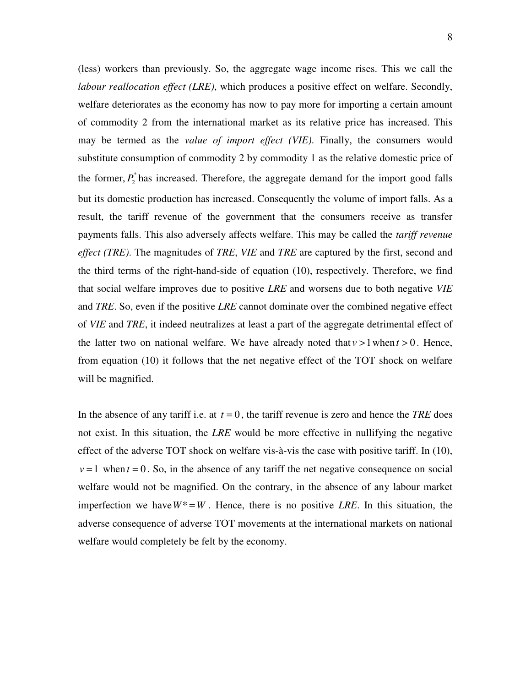(less) workers than previously. So, the aggregate wage income rises. This we call the *labour reallocation effect (LRE)*, which produces a positive effect on welfare. Secondly, welfare deteriorates as the economy has now to pay more for importing a certain amount of commodity 2 from the international market as its relative price has increased. This may be termed as the *value of import effect (VIE)*. Finally, the consumers would substitute consumption of commodity 2 by commodity 1 as the relative domestic price of the former,  $P_2^*$  has increased. Therefore, the aggregate demand for the import good falls but its domestic production has increased. Consequently the volume of import falls. As a result, the tariff revenue of the government that the consumers receive as transfer payments falls. This also adversely affects welfare. This may be called the *tariff revenue effect (TRE)*. The magnitudes of *TRE*, *VIE* and *TRE* are captured by the first, second and the third terms of the right-hand-side of equation (10), respectively. Therefore, we find that social welfare improves due to positive *LRE* and worsens due to both negative *VIE* and *TRE*. So, even if the positive *LRE* cannot dominate over the combined negative effect of *VIE* and *TRE*, it indeed neutralizes at least a part of the aggregate detrimental effect of the latter two on national welfare. We have already noted that  $v > 1$  when  $t > 0$ . Hence, from equation (10) it follows that the net negative effect of the TOT shock on welfare will be magnified.

In the absence of any tariff i.e. at  $t = 0$ , the tariff revenue is zero and hence the *TRE* does not exist. In this situation, the *LRE* would be more effective in nullifying the negative effect of the adverse TOT shock on welfare vis-à-vis the case with positive tariff. In (10),  $v = 1$  when  $t = 0$ . So, in the absence of any tariff the net negative consequence on social welfare would not be magnified. On the contrary, in the absence of any labour market imperfection we have  $W^* = W$ . Hence, there is no positive *LRE*. In this situation, the adverse consequence of adverse TOT movements at the international markets on national welfare would completely be felt by the economy.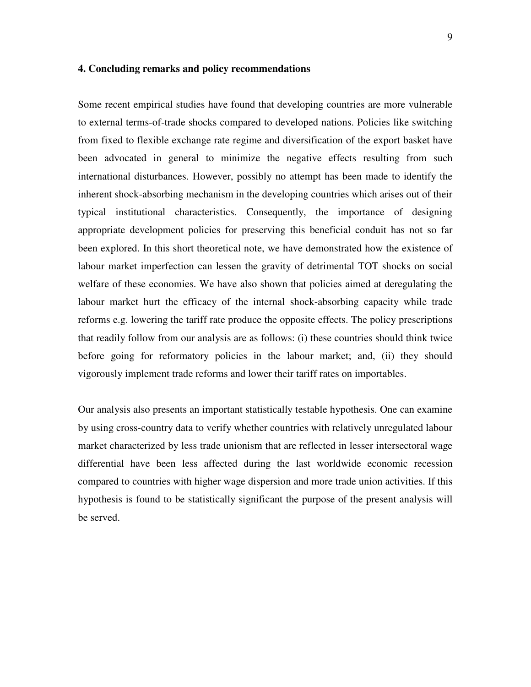#### **4. Concluding remarks and policy recommendations**

Some recent empirical studies have found that developing countries are more vulnerable to external terms-of-trade shocks compared to developed nations. Policies like switching from fixed to flexible exchange rate regime and diversification of the export basket have been advocated in general to minimize the negative effects resulting from such international disturbances. However, possibly no attempt has been made to identify the inherent shock-absorbing mechanism in the developing countries which arises out of their typical institutional characteristics. Consequently, the importance of designing appropriate development policies for preserving this beneficial conduit has not so far been explored. In this short theoretical note, we have demonstrated how the existence of labour market imperfection can lessen the gravity of detrimental TOT shocks on social welfare of these economies. We have also shown that policies aimed at deregulating the labour market hurt the efficacy of the internal shock-absorbing capacity while trade reforms e.g. lowering the tariff rate produce the opposite effects. The policy prescriptions that readily follow from our analysis are as follows: (i) these countries should think twice before going for reformatory policies in the labour market; and, (ii) they should vigorously implement trade reforms and lower their tariff rates on importables.

Our analysis also presents an important statistically testable hypothesis. One can examine by using cross-country data to verify whether countries with relatively unregulated labour market characterized by less trade unionism that are reflected in lesser intersectoral wage differential have been less affected during the last worldwide economic recession compared to countries with higher wage dispersion and more trade union activities. If this hypothesis is found to be statistically significant the purpose of the present analysis will be served.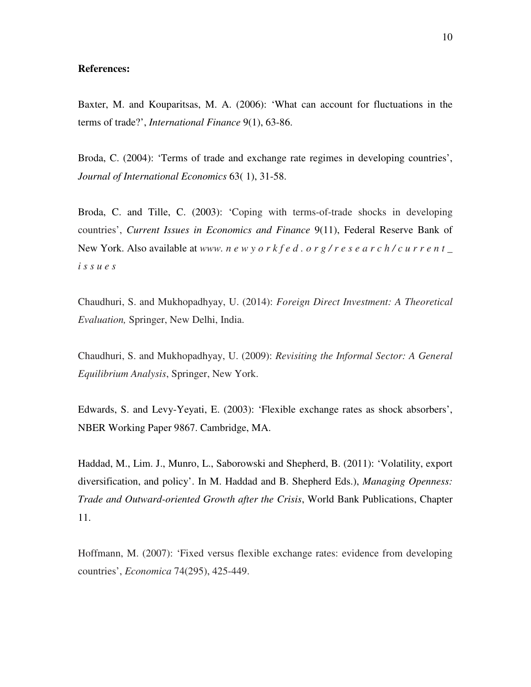#### **References:**

Baxter, M. and Kouparitsas, M. A. (2006): 'What can account for fluctuations in the terms of trade?', *International Finance* 9(1), 63-86.

Broda, C. (2004): 'Terms of trade and exchange rate regimes in developing countries', *Journal of International Economics* 63( 1), 31-58.

Broda, C. and Tille, C. (2003): 'Coping with terms-of-trade shocks in developing countries', *Current Issues in Economics and Finance* 9(11), Federal Reserve Bank of New York. Also available at *www. n e w y o r k f e d . o r g / r e s e a r c h / c u r r e n t \_ i s s u e s* 

Chaudhuri, S. and Mukhopadhyay, U. (2014): *Foreign Direct Investment: A Theoretical Evaluation,* Springer, New Delhi, India.

Chaudhuri, S. and Mukhopadhyay, U. (2009): *Revisiting the Informal Sector: A General Equilibrium Analysis*, Springer, New York.

Edwards, S. and Levy-Yeyati, E. (2003): 'Flexible exchange rates as shock absorbers', NBER Working Paper 9867. Cambridge, MA.

Haddad, M., Lim. J., Munro, L., Saborowski and Shepherd, B. (2011): 'Volatility, export diversification, and policy'. In M. Haddad and B. Shepherd Eds.), *Managing Openness: Trade and Outward-oriented Growth after the Crisis*, World Bank Publications, Chapter 11.

Hoffmann, M. (2007): 'Fixed versus flexible exchange rates: evidence from developing countries', *Economica* 74(295), 425-449.